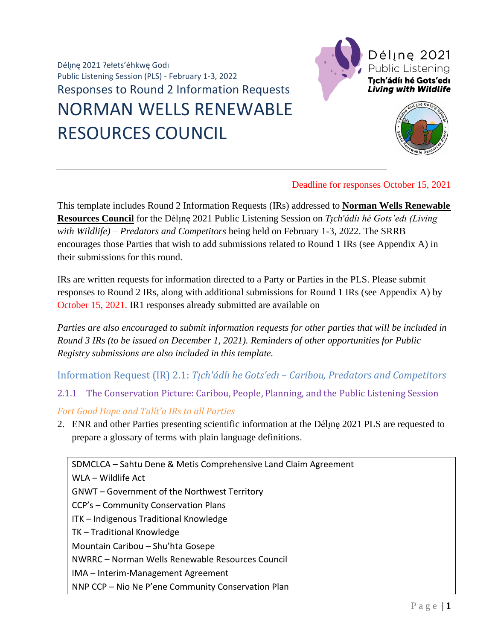Déline 2021 ?ełets'éhkwe Godi Public Listening Session (PLS) - February 1-3, 2022 Responses to Round 2 Information Requests NORMAN WELLS RENEWABLE RESOURCES COUNCIL





### Deadline for responses October 15, 2021

This template includes Round 2 Information Requests (IRs) addressed to **Norman Wells Renewable Resources Council** for the Délı̨nę 2021 Public Listening Session on *Tı̨ch'ádı́ ı hé Gots'edı (Living with Wildlife) – Predators and Competitors* being held on February 1-3, 2022. The SRRB encourages those Parties that wish to add submissions related to Round 1 IRs (see Appendix A) in their submissions for this round.

IRs are written requests for information directed to a Party or Parties in the PLS. Please submit responses to Round 2 IRs, along with additional submissions for Round 1 IRs (see Appendix A) by October 15, 2021. IR1 responses already submitted are available on

*Parties are also encouraged to submit information requests for other parties that will be included in Round 3 IRs (to be issued on December 1, 2021). Reminders of other opportunities for Public Registry submissions are also included in this template.* 

Information Request (IR) 2.1: *Tı̨ch'ádı́ı he Gots'edı – Caribou, Predators and Competitors*

2.1.1 The Conservation Picture: Caribou, People, Planning, and the Public Listening Session

#### *Fort Good Hope and Tulı́t'a IRs to all Parties*

2. ENR and other Parties presenting scientific information at the Dél<sub>i</sub>ne 2021 PLS are requested to prepare a glossary of terms with plain language definitions.

SDMCLCA – Sahtu Dene & Metis Comprehensive Land Claim Agreement

WLA – Wildlife Act

GNWT – Government of the Northwest Territory

CCP's – Community Conservation Plans

ITK – Indigenous Traditional Knowledge

TK – Traditional Knowledge

Mountain Caribou – Shu'hta Gosepe

NWRRC – Norman Wells Renewable Resources Council

IMA – Interim-Management Agreement

NNP CCP – Nio Ne P'ene Community Conservation Plan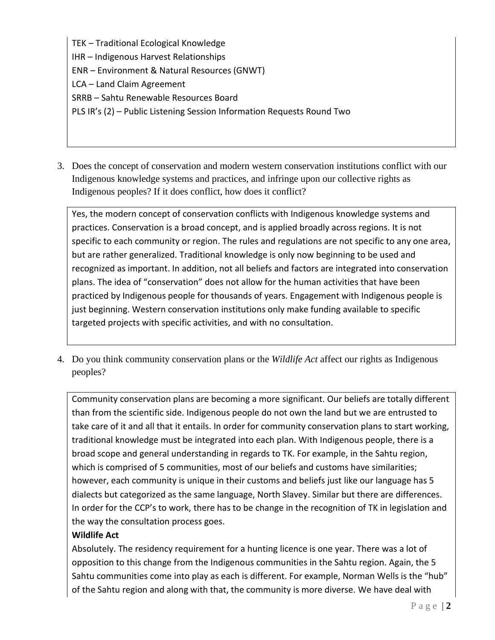TEK – Traditional Ecological Knowledge IHR – Indigenous Harvest Relationships ENR – Environment & Natural Resources (GNWT) LCA – Land Claim Agreement SRRB – Sahtu Renewable Resources Board PLS IR's (2) – Public Listening Session Information Requests Round Two

3. Does the concept of conservation and modern western conservation institutions conflict with our Indigenous knowledge systems and practices, and infringe upon our collective rights as Indigenous peoples? If it does conflict, how does it conflict?

Yes, the modern concept of conservation conflicts with Indigenous knowledge systems and practices. Conservation is a broad concept, and is applied broadly across regions. It is not specific to each community or region. The rules and regulations are not specific to any one area, but are rather generalized. Traditional knowledge is only now beginning to be used and recognized as important. In addition, not all beliefs and factors are integrated into conservation plans. The idea of "conservation" does not allow for the human activities that have been practiced by Indigenous people for thousands of years. Engagement with Indigenous people is just beginning. Western conservation institutions only make funding available to specific targeted projects with specific activities, and with no consultation.

4. Do you think community conservation plans or the *Wildlife Act* affect our rights as Indigenous peoples?

Community conservation plans are becoming a more significant. Our beliefs are totally different than from the scientific side. Indigenous people do not own the land but we are entrusted to take care of it and all that it entails. In order for community conservation plans to start working, traditional knowledge must be integrated into each plan. With Indigenous people, there is a broad scope and general understanding in regards to TK. For example, in the Sahtu region, which is comprised of 5 communities, most of our beliefs and customs have similarities; however, each community is unique in their customs and beliefs just like our language has 5 dialects but categorized as the same language, North Slavey. Similar but there are differences. In order for the CCP's to work, there has to be change in the recognition of TK in legislation and the way the consultation process goes.

#### **Wildlife Act**

Absolutely. The residency requirement for a hunting licence is one year. There was a lot of opposition to this change from the Indigenous communities in the Sahtu region. Again, the 5 Sahtu communities come into play as each is different. For example, Norman Wells is the "hub" of the Sahtu region and along with that, the community is more diverse. We have deal with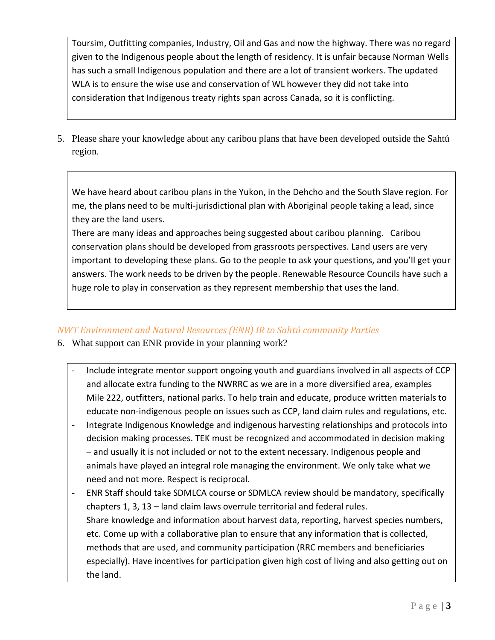Toursim, Outfitting companies, Industry, Oil and Gas and now the highway. There was no regard given to the Indigenous people about the length of residency. It is unfair because Norman Wells has such a small Indigenous population and there are a lot of transient workers. The updated WLA is to ensure the wise use and conservation of WL however they did not take into consideration that Indigenous treaty rights span across Canada, so it is conflicting.

5. Please share your knowledge about any caribou plans that have been developed outside the Sahtú region.

We have heard about caribou plans in the Yukon, in the Dehcho and the South Slave region. For me, the plans need to be multi-jurisdictional plan with Aboriginal people taking a lead, since they are the land users.

There are many ideas and approaches being suggested about caribou planning. Caribou conservation plans should be developed from grassroots perspectives. Land users are very important to developing these plans. Go to the people to ask your questions, and you'll get your answers. The work needs to be driven by the people. Renewable Resource Councils have such a huge role to play in conservation as they represent membership that uses the land.

## *NWT Environment and Natural Resources (ENR) IR to Sahtú community Parties*

- 6. What support can ENR provide in your planning work?
	- Include integrate mentor support ongoing youth and guardians involved in all aspects of CCP and allocate extra funding to the NWRRC as we are in a more diversified area, examples Mile 222, outfitters, national parks. To help train and educate, produce written materials to educate non-indigenous people on issues such as CCP, land claim rules and regulations, etc.
	- Integrate Indigenous Knowledge and indigenous harvesting relationships and protocols into decision making processes. TEK must be recognized and accommodated in decision making – and usually it is not included or not to the extent necessary. Indigenous people and animals have played an integral role managing the environment. We only take what we need and not more. Respect is reciprocal.
	- ENR Staff should take SDMLCA course or SDMLCA review should be mandatory, specifically chapters 1, 3, 13 – land claim laws overrule territorial and federal rules. Share knowledge and information about harvest data, reporting, harvest species numbers, etc. Come up with a collaborative plan to ensure that any information that is collected, methods that are used, and community participation (RRC members and beneficiaries especially). Have incentives for participation given high cost of living and also getting out on the land.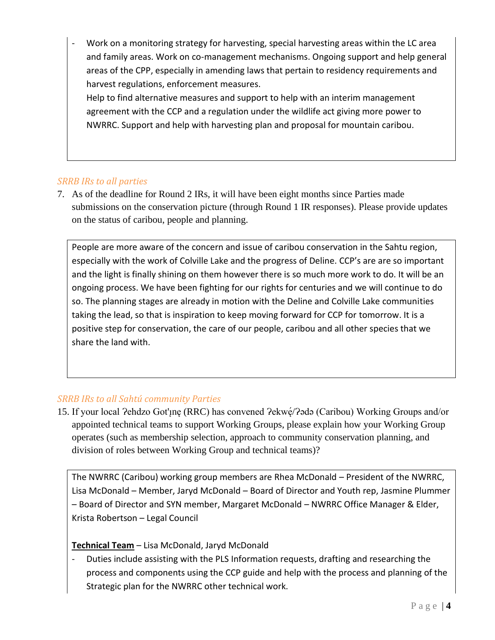Work on a monitoring strategy for harvesting, special harvesting areas within the LC area and family areas. Work on co-management mechanisms. Ongoing support and help general areas of the CPP, especially in amending laws that pertain to residency requirements and harvest regulations, enforcement measures.

Help to find alternative measures and support to help with an interim management agreement with the CCP and a regulation under the wildlife act giving more power to NWRRC. Support and help with harvesting plan and proposal for mountain caribou.

### *SRRB IRs to all parties*

7. As of the deadline for Round 2 IRs, it will have been eight months since Parties made submissions on the conservation picture (through Round 1 IR responses). Please provide updates on the status of caribou, people and planning.

People are more aware of the concern and issue of caribou conservation in the Sahtu region, especially with the work of Colville Lake and the progress of Deline. CCP's are are so important and the light is finally shining on them however there is so much more work to do. It will be an ongoing process. We have been fighting for our rights for centuries and we will continue to do so. The planning stages are already in motion with the Deline and Colville Lake communities taking the lead, so that is inspiration to keep moving forward for CCP for tomorrow. It is a positive step for conservation, the care of our people, caribou and all other species that we share the land with.

## *SRRB IRs to all Sahtú community Parties*

15. If your local ?ehdzo Got'ınę (RRC) has convened ?ekwę́/?ada (Caribou) Working Groups and/or ̨́ appointed technical teams to support Working Groups, please explain how your Working Group operates (such as membership selection, approach to community conservation planning, and division of roles between Working Group and technical teams)?

The NWRRC (Caribou) working group members are Rhea McDonald – President of the NWRRC, Lisa McDonald – Member, Jaryd McDonald – Board of Director and Youth rep, Jasmine Plummer – Board of Director and SYN member, Margaret McDonald – NWRRC Office Manager & Elder, Krista Robertson – Legal Council

#### **Technical Team** – Lisa McDonald, Jaryd McDonald

Duties include assisting with the PLS Information requests, drafting and researching the process and components using the CCP guide and help with the process and planning of the Strategic plan for the NWRRC other technical work.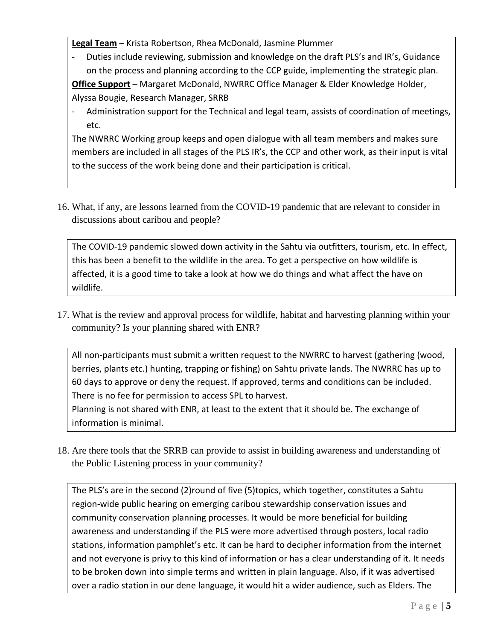**Legal Team** – Krista Robertson, Rhea McDonald, Jasmine Plummer

- Duties include reviewing, submission and knowledge on the draft PLS's and IR's, Guidance on the process and planning according to the CCP guide, implementing the strategic plan.

**Office Support** – Margaret McDonald, NWRRC Office Manager & Elder Knowledge Holder, Alyssa Bougie, Research Manager, SRRB

Administration support for the Technical and legal team, assists of coordination of meetings, etc.

The NWRRC Working group keeps and open dialogue with all team members and makes sure members are included in all stages of the PLS IR's, the CCP and other work, as their input is vital to the success of the work being done and their participation is critical.

16. What, if any, are lessons learned from the COVID-19 pandemic that are relevant to consider in discussions about caribou and people?

The COVID-19 pandemic slowed down activity in the Sahtu via outfitters, tourism, etc. In effect, this has been a benefit to the wildlife in the area. To get a perspective on how wildlife is affected, it is a good time to take a look at how we do things and what affect the have on wildlife.

17. What is the review and approval process for wildlife, habitat and harvesting planning within your community? Is your planning shared with ENR?

All non-participants must submit a written request to the NWRRC to harvest (gathering (wood, berries, plants etc.) hunting, trapping or fishing) on Sahtu private lands. The NWRRC has up to 60 days to approve or deny the request. If approved, terms and conditions can be included. There is no fee for permission to access SPL to harvest.

Planning is not shared with ENR, at least to the extent that it should be. The exchange of information is minimal.

18. Are there tools that the SRRB can provide to assist in building awareness and understanding of the Public Listening process in your community?

The PLS's are in the second (2)round of five (5)topics, which together, constitutes a Sahtu region-wide public hearing on emerging caribou stewardship conservation issues and community conservation planning processes. It would be more beneficial for building awareness and understanding if the PLS were more advertised through posters, local radio stations, information pamphlet's etc. It can be hard to decipher information from the internet and not everyone is privy to this kind of information or has a clear understanding of it. It needs to be broken down into simple terms and written in plain language. Also, if it was advertised over a radio station in our dene language, it would hit a wider audience, such as Elders. The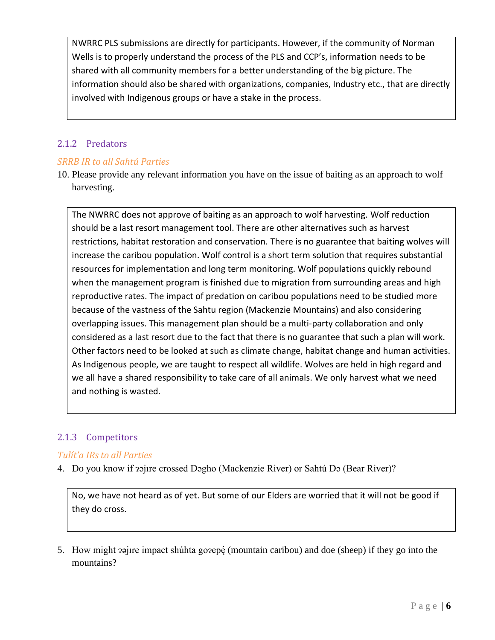NWRRC PLS submissions are directly for participants. However, if the community of Norman Wells is to properly understand the process of the PLS and CCP's, information needs to be shared with all community members for a better understanding of the big picture. The information should also be shared with organizations, companies, Industry etc., that are directly involved with Indigenous groups or have a stake in the process.

#### 2.1.2 Predators

#### *SRRB IR to all Sahtú Parties*

10. Please provide any relevant information you have on the issue of baiting as an approach to wolf harvesting.

The NWRRC does not approve of baiting as an approach to wolf harvesting. Wolf reduction should be a last resort management tool. There are other alternatives such as harvest restrictions, habitat restoration and conservation. There is no guarantee that baiting wolves will increase the caribou population. Wolf control is a short term solution that requires substantial resources for implementation and long term monitoring. Wolf populations quickly rebound when the management program is finished due to migration from surrounding areas and high reproductive rates. The impact of predation on caribou populations need to be studied more because of the vastness of the Sahtu region (Mackenzie Mountains) and also considering overlapping issues. This management plan should be a multi-party collaboration and only considered as a last resort due to the fact that there is no guarantee that such a plan will work. Other factors need to be looked at such as climate change, habitat change and human activities. As Indigenous people, we are taught to respect all wildlife. Wolves are held in high regard and we all have a shared responsibility to take care of all animals. We only harvest what we need and nothing is wasted.

## 2.1.3 Competitors

#### *Tulı́t'a IRs to all Parties*

4. Do you know if zajire crossed Dagho (Mackenzie River) or Sahtú Da (Bear River)?

No, we have not heard as of yet. But some of our Elders are worried that it will not be good if they do cross.

5. How might zajire impact shúhta gozepę́ (mountain caribou) and doe (sheep) if they go into the mountains?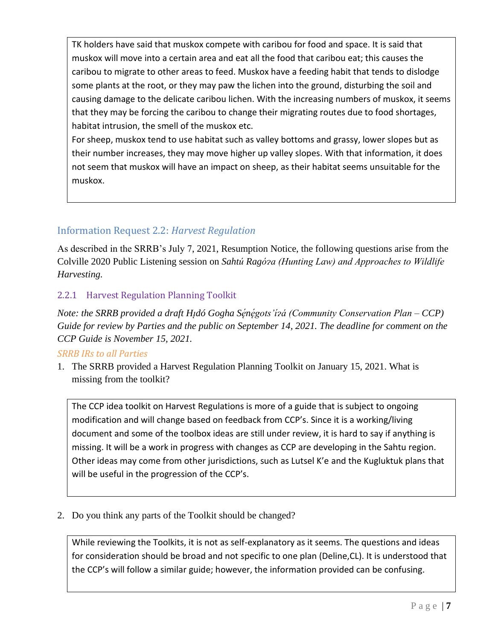TK holders have said that muskox compete with caribou for food and space. It is said that muskox will move into a certain area and eat all the food that caribou eat; this causes the caribou to migrate to other areas to feed. Muskox have a feeding habit that tends to dislodge some plants at the root, or they may paw the lichen into the ground, disturbing the soil and causing damage to the delicate caribou lichen. With the increasing numbers of muskox, it seems that they may be forcing the caribou to change their migrating routes due to food shortages, habitat intrusion, the smell of the muskox etc.

For sheep, muskox tend to use habitat such as valley bottoms and grassy, lower slopes but as their number increases, they may move higher up valley slopes. With that information, it does not seem that muskox will have an impact on sheep, as their habitat seems unsuitable for the muskox.

# Information Request 2.2: *Harvest Regulation*

As described in the SRRB's July 7, 2021, Resumption Notice, the following questions arise from the Colville 2020 Public Listening session on *Sahtú Ragóɂa (Hunting Law) and Approaches to Wildlife Harvesting.* 

# 2.2.1 Harvest Regulation Planning Toolkit

*Note: the SRRB provided a draft Hı̨dó Gogha Sé ̨né ̨gots'ı́ɂá (Community Conservation Plan – CCP) Guide for review by Parties and the public on September 14, 2021. The deadline for comment on the CCP Guide is November 15, 2021.*

## *SRRB IRs to all Parties*

1. The SRRB provided a Harvest Regulation Planning Toolkit on January 15, 2021. What is missing from the toolkit?

The CCP idea toolkit on Harvest Regulations is more of a guide that is subject to ongoing modification and will change based on feedback from CCP's. Since it is a working/living document and some of the toolbox ideas are still under review, it is hard to say if anything is missing. It will be a work in progress with changes as CCP are developing in the Sahtu region. Other ideas may come from other jurisdictions, such as Lutsel K'e and the Kugluktuk plans that will be useful in the progression of the CCP's.

2. Do you think any parts of the Toolkit should be changed?

While reviewing the Toolkits, it is not as self-explanatory as it seems. The questions and ideas for consideration should be broad and not specific to one plan (Deline,CL). It is understood that the CCP's will follow a similar guide; however, the information provided can be confusing.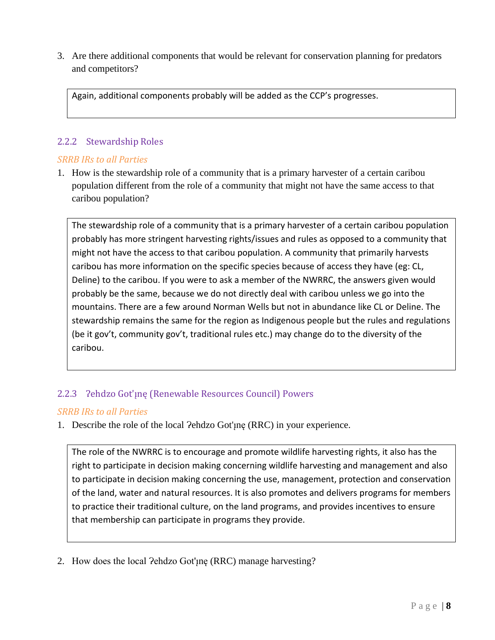3. Are there additional components that would be relevant for conservation planning for predators and competitors?

Again, additional components probably will be added as the CCP's progresses.

### 2.2.2 Stewardship Roles

#### *SRRB IRs to all Parties*

1. How is the stewardship role of a community that is a primary harvester of a certain caribou population different from the role of a community that might not have the same access to that caribou population?

The stewardship role of a community that is a primary harvester of a certain caribou population probably has more stringent harvesting rights/issues and rules as opposed to a community that might not have the access to that caribou population. A community that primarily harvests caribou has more information on the specific species because of access they have (eg: CL, Deline) to the caribou. If you were to ask a member of the NWRRC, the answers given would probably be the same, because we do not directly deal with caribou unless we go into the mountains. There are a few around Norman Wells but not in abundance like CL or Deline. The stewardship remains the same for the region as Indigenous people but the rules and regulations (be it gov't, community gov't, traditional rules etc.) may change do to the diversity of the caribou.

# 2.2.3 ?ehdzo Got'ınę (Renewable Resources Council) Powers

## *SRRB IRs to all Parties*

1. Describe the role of the local ?ehdzo Got'ine (RRC) in your experience.

The role of the NWRRC is to encourage and promote wildlife harvesting rights, it also has the right to participate in decision making concerning wildlife harvesting and management and also to participate in decision making concerning the use, management, protection and conservation of the land, water and natural resources. It is also promotes and delivers programs for members to practice their traditional culture, on the land programs, and provides incentives to ensure that membership can participate in programs they provide.

2. How does the local Pehdzo Got'ine (RRC) manage harvesting?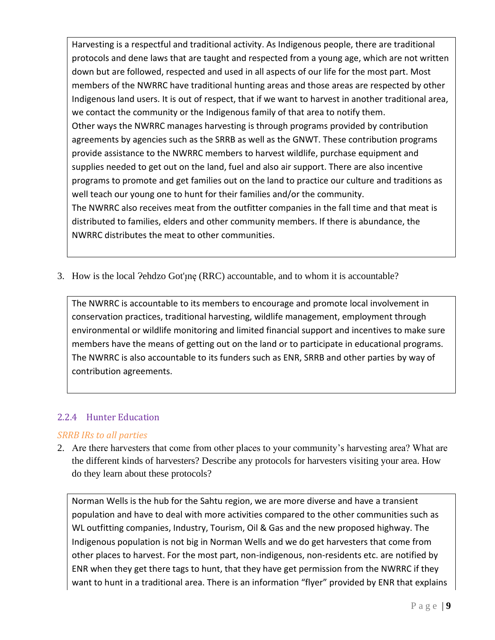Harvesting is a respectful and traditional activity. As Indigenous people, there are traditional protocols and dene laws that are taught and respected from a young age, which are not written down but are followed, respected and used in all aspects of our life for the most part. Most members of the NWRRC have traditional hunting areas and those areas are respected by other Indigenous land users. It is out of respect, that if we want to harvest in another traditional area, we contact the community or the Indigenous family of that area to notify them. Other ways the NWRRC manages harvesting is through programs provided by contribution agreements by agencies such as the SRRB as well as the GNWT. These contribution programs provide assistance to the NWRRC members to harvest wildlife, purchase equipment and supplies needed to get out on the land, fuel and also air support. There are also incentive programs to promote and get families out on the land to practice our culture and traditions as well teach our young one to hunt for their families and/or the community. The NWRRC also receives meat from the outfitter companies in the fall time and that meat is distributed to families, elders and other community members. If there is abundance, the NWRRC distributes the meat to other communities.

3. How is the local  $\text{Pehdzo Got}'\text{ln}$ , (RRC) accountable, and to whom it is accountable?

The NWRRC is accountable to its members to encourage and promote local involvement in conservation practices, traditional harvesting, wildlife management, employment through environmental or wildlife monitoring and limited financial support and incentives to make sure members have the means of getting out on the land or to participate in educational programs. The NWRRC is also accountable to its funders such as ENR, SRRB and other parties by way of contribution agreements.

## 2.2.4 Hunter Education

#### *SRRB IRs to all parties*

2. Are there harvesters that come from other places to your community's harvesting area? What are the different kinds of harvesters? Describe any protocols for harvesters visiting your area. How do they learn about these protocols?

Norman Wells is the hub for the Sahtu region, we are more diverse and have a transient population and have to deal with more activities compared to the other communities such as WL outfitting companies, Industry, Tourism, Oil & Gas and the new proposed highway. The Indigenous population is not big in Norman Wells and we do get harvesters that come from other places to harvest. For the most part, non-indigenous, non-residents etc. are notified by ENR when they get there tags to hunt, that they have get permission from the NWRRC if they want to hunt in a traditional area. There is an information "flyer" provided by ENR that explains